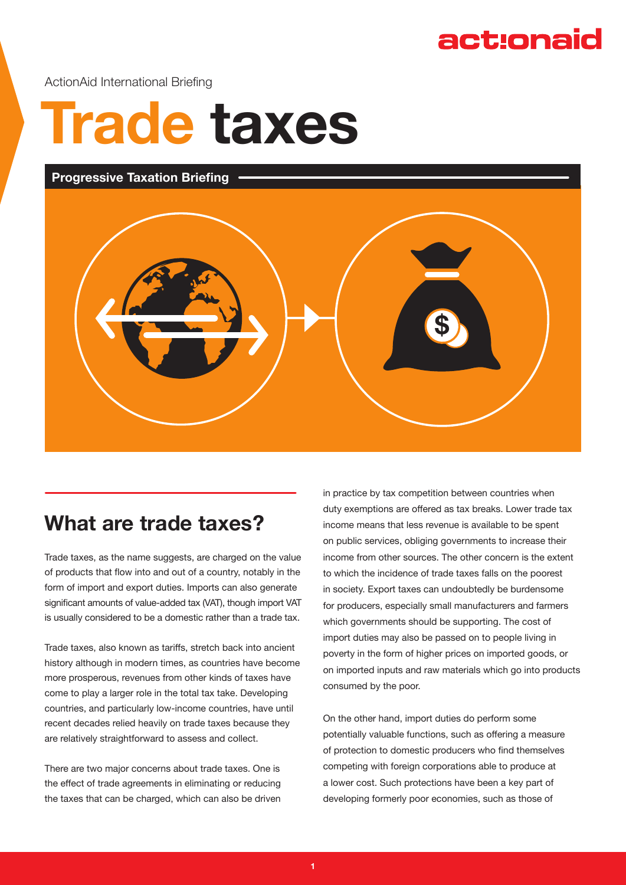## act:onaid

ActionAid International Briefing

# **Trade taxes**

#### **Progressive Taxation Briefing**



## **What are trade taxes?**

Trade taxes, as the name suggests, are charged on the value of products that flow into and out of a country, notably in the form of import and export duties. Imports can also generate significant amounts of value-added tax (VAT), though import VAT is usually considered to be a domestic rather than a trade tax.

Trade taxes, also known as tariffs, stretch back into ancient history although in modern times, as countries have become more prosperous, revenues from other kinds of taxes have come to play a larger role in the total tax take. Developing countries, and particularly low-income countries, have until recent decades relied heavily on trade taxes because they are relatively straightforward to assess and collect.

There are two major concerns about trade taxes. One is the effect of trade agreements in eliminating or reducing the taxes that can be charged, which can also be driven

in practice by tax competition between countries when duty exemptions are offered as tax breaks. Lower trade tax income means that less revenue is available to be spent on public services, obliging governments to increase their income from other sources. The other concern is the extent to which the incidence of trade taxes falls on the poorest in society. Export taxes can undoubtedly be burdensome for producers, especially small manufacturers and farmers which governments should be supporting. The cost of import duties may also be passed on to people living in poverty in the form of higher prices on imported goods, or on imported inputs and raw materials which go into products consumed by the poor.

On the other hand, import duties do perform some potentially valuable functions, such as offering a measure of protection to domestic producers who find themselves competing with foreign corporations able to produce at a lower cost. Such protections have been a key part of developing formerly poor economies, such as those of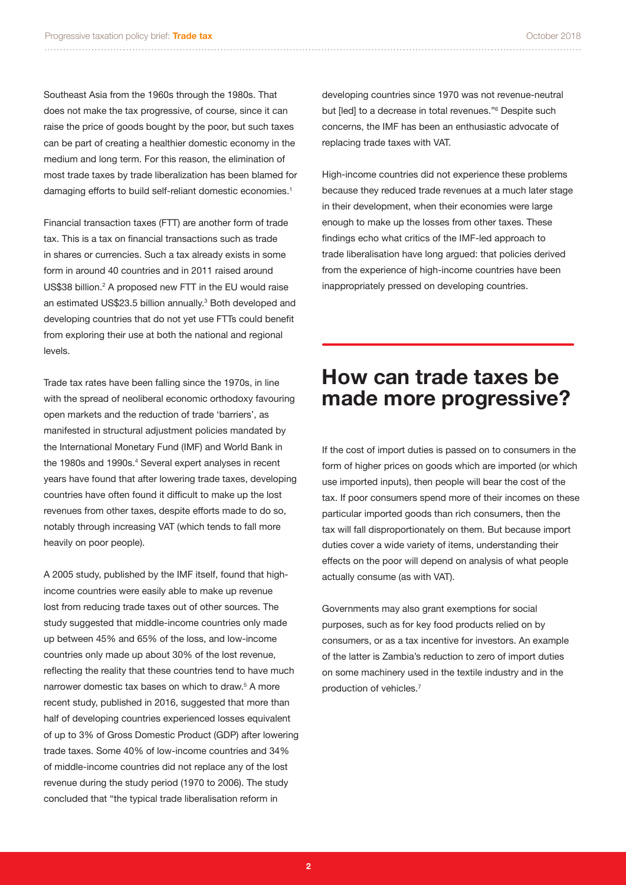Southeast Asia from the 1960s through the 1980s. That does not make the tax progressive, of course, since it can raise the price of goods bought by the poor, but such taxes can be part of creating a healthier domestic economy in the medium and long term. For this reason, the elimination of most trade taxes by trade liberalization has been blamed for damaging efforts to build self-reliant domestic economies.<sup>1</sup>

Financial transaction taxes (FTT) are another form of trade tax. This is a tax on financial transactions such as trade in shares or currencies. Such a tax already exists in some form in around 40 countries and in 2011 raised around US\$38 billion.<sup>2</sup> A proposed new FTT in the EU would raise an estimated US\$23.5 billion annually.<sup>3</sup> Both developed and developing countries that do not yet use FTTs could benefit from exploring their use at both the national and regional levels.

Trade tax rates have been falling since the 1970s, in line with the spread of neoliberal economic orthodoxy favouring open markets and the reduction of trade 'barriers', as manifested in structural adjustment policies mandated by the International Monetary Fund (IMF) and World Bank in the 1980s and 1990s.<sup>4</sup> Several expert analyses in recent years have found that after lowering trade taxes, developing countries have often found it difficult to make up the lost revenues from other taxes, despite efforts made to do so, notably through increasing VAT (which tends to fall more heavily on poor people).

A 2005 study, published by the IMF itself, found that highincome countries were easily able to make up revenue lost from reducing trade taxes out of other sources. The study suggested that middle-income countries only made up between 45% and 65% of the loss, and low-income countries only made up about 30% of the lost revenue, reflecting the reality that these countries tend to have much narrower domestic tax bases on which to draw.<sup>5</sup> A more recent study, published in 2016, suggested that more than half of developing countries experienced losses equivalent of up to 3% of Gross Domestic Product (GDP) after lowering trade taxes. Some 40% of low-income countries and 34% of middle-income countries did not replace any of the lost revenue during the study period (1970 to 2006). The study concluded that "the typical trade liberalisation reform in

developing countries since 1970 was not revenue-neutral but [led] to a decrease in total revenues."6 Despite such concerns, the IMF has been an enthusiastic advocate of replacing trade taxes with VAT.

High-income countries did not experience these problems because they reduced trade revenues at a much later stage in their development, when their economies were large enough to make up the losses from other taxes. These findings echo what critics of the IMF-led approach to trade liberalisation have long argued: that policies derived from the experience of high-income countries have been inappropriately pressed on developing countries.

#### **How can trade taxes be made more progressive?**

If the cost of import duties is passed on to consumers in the form of higher prices on goods which are imported (or which use imported inputs), then people will bear the cost of the tax. If poor consumers spend more of their incomes on these particular imported goods than rich consumers, then the tax will fall disproportionately on them. But because import duties cover a wide variety of items, understanding their effects on the poor will depend on analysis of what people actually consume (as with VAT).

Governments may also grant exemptions for social purposes, such as for key food products relied on by consumers, or as a tax incentive for investors. An example of the latter is Zambia's reduction to zero of import duties on some machinery used in the textile industry and in the production of vehicles.7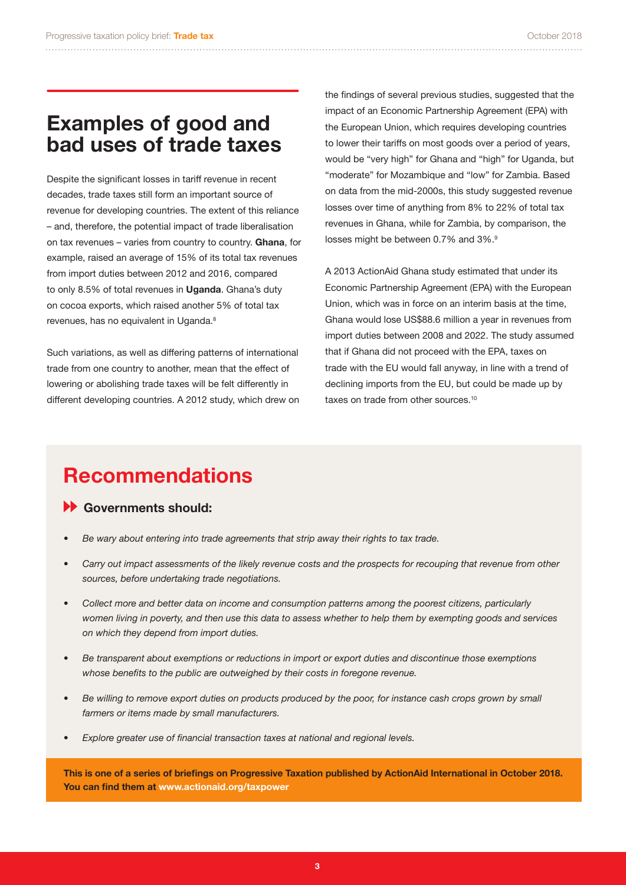### **Examples of good and bad uses of trade taxes**

Despite the significant losses in tariff revenue in recent decades, trade taxes still form an important source of revenue for developing countries. The extent of this reliance – and, therefore, the potential impact of trade liberalisation on tax revenues – varies from country to country. **Ghana**, for example, raised an average of 15% of its total tax revenues from import duties between 2012 and 2016, compared to only 8.5% of total revenues in **Uganda**. Ghana's duty on cocoa exports, which raised another 5% of total tax revenues, has no equivalent in Uganda.<sup>8</sup>

Such variations, as well as differing patterns of international trade from one country to another, mean that the effect of lowering or abolishing trade taxes will be felt differently in different developing countries. A 2012 study, which drew on the findings of several previous studies, suggested that the impact of an Economic Partnership Agreement (EPA) with the European Union, which requires developing countries to lower their tariffs on most goods over a period of years, would be "very high" for Ghana and "high" for Uganda, but "moderate" for Mozambique and "low" for Zambia. Based on data from the mid-2000s, this study suggested revenue losses over time of anything from 8% to 22% of total tax revenues in Ghana, while for Zambia, by comparison, the losses might be between 0.7% and 3%.<sup>9</sup>

A 2013 ActionAid Ghana study estimated that under its Economic Partnership Agreement (EPA) with the European Union, which was in force on an interim basis at the time, Ghana would lose US\$88.6 million a year in revenues from import duties between 2008 and 2022. The study assumed that if Ghana did not proceed with the EPA, taxes on trade with the EU would fall anyway, in line with a trend of declining imports from the EU, but could be made up by taxes on trade from other sources.<sup>10</sup>

## **Recommendations**

#### **Governments should:**

- *• Be wary about entering into trade agreements that strip away their rights to tax trade.*
- *• Carry out impact assessments of the likely revenue costs and the prospects for recouping that revenue from other sources, before undertaking trade negotiations.*
- *• Collect more and better data on income and consumption patterns among the poorest citizens, particularly women living in poverty, and then use this data to assess whether to help them by exempting goods and services on which they depend from import duties.*
- *• Be transparent about exemptions or reductions in import or export duties and discontinue those exemptions whose benefits to the public are outweighed by their costs in foregone revenue.*
- *• Be willing to remove export duties on products produced by the poor, for instance cash crops grown by small farmers or items made by small manufacturers.*
- *• Explore greater use of financial transaction taxes at national and regional levels.*

**This is one of a series of briefings on Progressive Taxation published by ActionAid International in October 2018. You can find them at www.actionaid.org/taxpower**